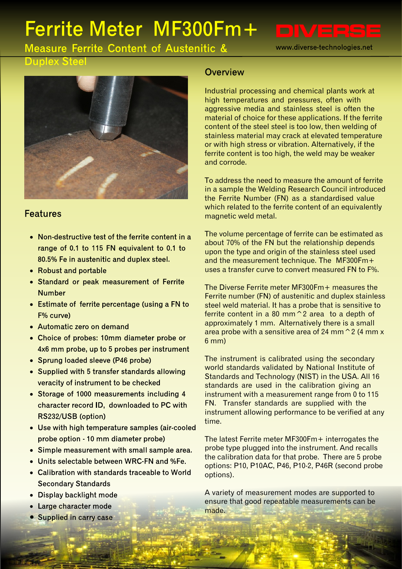# Ferrite Meter MF300Fm+

www.diverse-technologies.net

**Measure Ferrite Content of Austenitic &** 

#### **Duplex Steel**



#### **Features**

- Non-destructive test of the ferrite content in a range of 0.1 to 115 FN equivalent to 0.1 to 80.5% Fe in austenitic and duplex steel.
- Robust and portable
- Standard or peak measurement of Ferrite **Number**
- Estimate of ferrite percentage (using a FN to  $F%$  curve)
- Automatic zero on demand
- Choice of probes: 10mm diameter probe or 4x6 mm probe, up to 5 probes per instrument
- Sprung loaded sleeve (P46 probe)
- Supplied with 5 transfer standards allowing veracity of instrument to be checked
- Storage of 1000 measurements including 4 character record ID, downloaded to PC with RS232/USB (option)
- Use with high temperature samples (air-cooled probe option - 10 mm diameter probe)
- Simple measurement with small sample area.
- Units selectable between WRC-FN and %Fe.
- Calibration with standards traceable to World **Secondary Standards**
- Display backlight mode
- Large character mode
- Supplied in carry case

#### Overview

Industrial processing and chemical plants work at high temperatures and pressures, often with aggressive media and stainless steel is often the material of choice for these applications. If the ferrite content of the steel steel is too low, then welding of stainless material may crack at elevated temperature or with high stress or vibration. Alternatively, if the ferrite content is too high, the weld may be weaker and corrode.

To address the need to measure the amount of ferrite in a sample the Welding Research Council introduced the Ferrite Number (FN) as a standardised value which related to the ferrite content of an equivalently magnetic weld metal.

The volume percentage of ferrite can be estimated as about 70% of the FN but the relationship depends upon the type and origin of the stainless steel used and the measurement technique. The MF300Fm+ uses a transfer curve to convert measured FN to F%.

The Diverse Ferrite meter MF300Fm+ measures the Ferrite number (FN) of austenitic and duplex stainless steel weld material. It has a probe that is sensitive to ferrite content in a 80 mm^2 area to a depth of approximately 1 mm. Alternatively there is a small area probe with a sensitive area of 24 mm $\degree$  2 (4 mm x 6 mm)

The instrument is calibrated using the secondary world standards validated by National Institute of Standards and Technology (NIST) in the USA. All 16 standards are used in the calibration giving an instrument with a measurement range from 0 to 115 FN. Transfer standards are supplied with the instrument allowing performance to be verified at any time.

The latest Ferrite meter MF300Fm+ interrogates the probe type plugged into the instrument. And recalls the calibration data for that probe. There are 5 probe options: P10, P10AC, P46, P10-2, P46R (second probe options).

A variety of measurement modes are supported to ensure that good repeatable measurements can be made.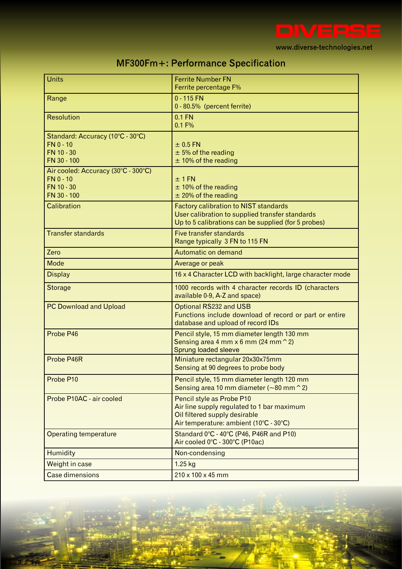

| MF300Fm+: Performance Specification |  |  |
|-------------------------------------|--|--|
|-------------------------------------|--|--|

| <b>Units</b>                        | <b>Ferrite Number FN</b>                                  |  |
|-------------------------------------|-----------------------------------------------------------|--|
|                                     | Ferrite percentage F%                                     |  |
| Range                               | $0 - 115$ FN                                              |  |
|                                     | 0 - 80.5% (percent ferrite)                               |  |
| <b>Resolution</b>                   | $0.1$ FN                                                  |  |
|                                     | 0.1 F%                                                    |  |
| Standard: Accuracy (10°C - 30°C)    |                                                           |  |
| $FN 0 - 10$                         | $±$ 0.5 FN                                                |  |
| FN 10 - 30                          | $± 5%$ of the reading                                     |  |
| FN 30 - 100                         | $±$ 10% of the reading                                    |  |
| Air cooled: Accuracy (30°C - 300°C) |                                                           |  |
| $FN 0 - 10$                         | $±1$ FN                                                   |  |
| FN 10 - 30                          | $±$ 10% of the reading                                    |  |
| FN 30 - 100                         | $±$ 20% of the reading                                    |  |
| Calibration                         | <b>Factory calibration to NIST standards</b>              |  |
|                                     | User calibration to supplied transfer standards           |  |
|                                     | Up to 5 calibrations can be supplied (for 5 probes)       |  |
| <b>Transfer standards</b>           | Five transfer standards                                   |  |
|                                     | Range typically 3 FN to 115 FN                            |  |
| Zero                                | Automatic on demand                                       |  |
| Mode                                | Average or peak                                           |  |
| <b>Display</b>                      | 16 x 4 Character LCD with backlight, large character mode |  |
| <b>Storage</b>                      | 1000 records with 4 character records ID (characters      |  |
|                                     | available 0-9, A-Z and space)                             |  |
| <b>PC Download and Upload</b>       | Optional RS232 and USB                                    |  |
|                                     | Functions include download of record or part or entire    |  |
|                                     | database and upload of record IDs                         |  |
| Probe P46                           | Pencil style, 15 mm diameter length 130 mm                |  |
|                                     | Sensing area 4 mm $\times$ 6 mm (24 mm $\hat{}$ 2)        |  |
|                                     | Sprung loaded sleeve                                      |  |
| Probe P46R                          | Miniature rectangular 20x30x75mm                          |  |
|                                     | Sensing at 90 degrees to probe body                       |  |
| Probe P10                           | Pencil style, 15 mm diameter length 120 mm                |  |
|                                     | Sensing area 10 mm diameter ( $\sim$ 80 mm $\hat{}$ 2)    |  |
| Probe P10AC - air cooled            | Pencil style as Probe P10                                 |  |
|                                     | Air line supply regulated to 1 bar maximum                |  |
|                                     | Oil filtered supply desirable                             |  |
|                                     | Air temperature: ambient (10°C - 30°C)                    |  |
| <b>Operating temperature</b>        | Standard 0°C - 40°C (P46, P46R and P10)                   |  |
|                                     | Air cooled 0°C - 300°C (P10ac)                            |  |
| Humidity                            | Non-condensing                                            |  |
| Weight in case                      | 1.25 kg                                                   |  |
|                                     |                                                           |  |
| <b>Case dimensions</b>              | 210 x 100 x 45 mm                                         |  |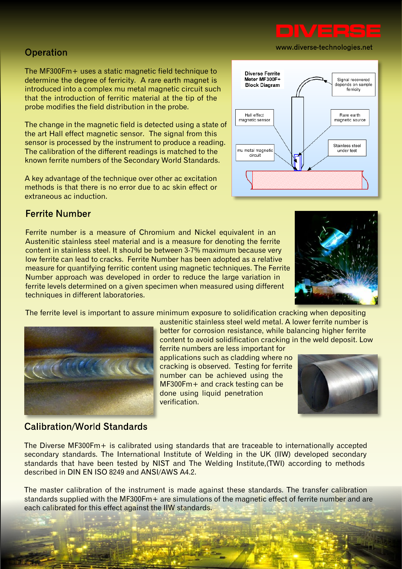

### Operation

The MF300Fm+ uses a static magnetic field technique to determine the degree of ferricity. A rare earth magnet is introduced into a complex mu metal magnetic circuit such that the introduction of ferritic material at the tip of the probe modifies the field distribution in the probe.

The change in the magnetic field is detected using a state of the art Hall effect magnetic sensor. The signal from this sensor is processed by the instrument to produce a reading. The calibration of the different readings is matched to the known ferrite numbers of the Secondary World Standards.

A key advantage of the technique over other ac excitation methods is that there is no error due to ac skin effect or extraneous ac induction.

#### **Ferrite Number**

Ferrite number is a measure of Chromium and Nickel equivalent in an Austenitic stainless steel material and is a measure for denoting the ferrite content in stainless steel. It should be between 3-7% maximum because very low ferrite can lead to cracks. Ferrite Number has been adopted as a relative measure for quantifying ferritic content using magnetic techniques. The Ferrite Number approach was developed in order to reduce the large variation in ferrite levels determined on a given specimen when measured using different techniques in different laboratories.

The ferrite level is important to assure minimum exposure to solidification cracking when depositing

austenitic stainless steel weld metal. A lower ferrite number is better for corrosion resistance, while balancing higher ferrite content to avoid solidification cracking in the weld deposit. Low

ferrite numbers are less important for applications such as cladding where no cracking is observed. Testing for ferrite number can be achieved using the MF300Fm+ and crack testing can be done using liquid penetration verification.

#### **Calibration/World Standards**

The Diverse MF300Fm+ is calibrated using standards that are traceable to internationally accepted secondary standards. The International Institute of Welding in the UK (IIW) developed secondary standards that have been tested by NIST and The Welding Institute,(TWI) according to methods described in DIN EN ISO 8249 and ANSI/AWS A4.2.

The master calibration of the instrument is made against these standards. The transfer calibration standards supplied with the MF300Fm+ are simulations of the magnetic effect of ferrite number and are each calibrated for this effect against the IIW standards.